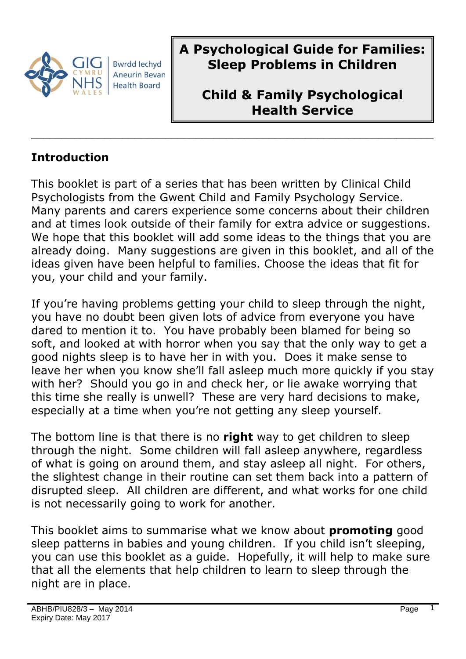

**A Psychological Guide for Families: Sleep Problems in Children** 

**Child & Family Psychological Health Service**

#### **Introduction**

This booklet is part of a series that has been written by Clinical Child Psychologists from the Gwent Child and Family Psychology Service. Many parents and carers experience some concerns about their children and at times look outside of their family for extra advice or suggestions. We hope that this booklet will add some ideas to the things that you are already doing. Many suggestions are given in this booklet, and all of the ideas given have been helpful to families. Choose the ideas that fit for you, your child and your family.

 $\overline{\phantom{a}}$  , and the contract of the contract of the contract of the contract of the contract of the contract of the contract of the contract of the contract of the contract of the contract of the contract of the contrac

If you're having problems getting your child to sleep through the night, you have no doubt been given lots of advice from everyone you have dared to mention it to. You have probably been blamed for being so soft, and looked at with horror when you say that the only way to get a good nights sleep is to have her in with you. Does it make sense to leave her when you know she'll fall asleep much more quickly if you stay with her? Should you go in and check her, or lie awake worrying that this time she really is unwell? These are very hard decisions to make, especially at a time when you're not getting any sleep yourself.

The bottom line is that there is no **right** way to get children to sleep through the night. Some children will fall asleep anywhere, regardless of what is going on around them, and stay asleep all night. For others, the slightest change in their routine can set them back into a pattern of disrupted sleep. All children are different, and what works for one child is not necessarily going to work for another.

This booklet aims to summarise what we know about **promoting** good sleep patterns in babies and young children. If you child isn't sleeping, you can use this booklet as a guide. Hopefully, it will help to make sure that all the elements that help children to learn to sleep through the night are in place.

1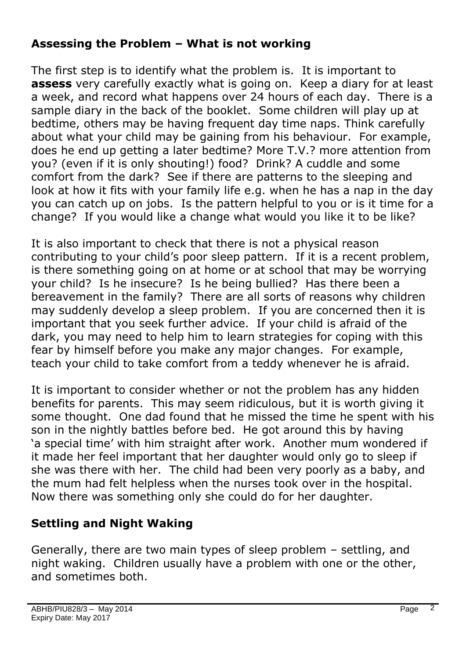### **Assessing the Problem – What is not working**

The first step is to identify what the problem is. It is important to **assess** very carefully exactly what is going on. Keep a diary for at least a week, and record what happens over 24 hours of each day. There is a sample diary in the back of the booklet. Some children will play up at bedtime, others may be having frequent day time naps. Think carefully about what your child may be gaining from his behaviour. For example, does he end up getting a later bedtime? More T.V.? more attention from you? (even if it is only shouting!) food? Drink? A cuddle and some comfort from the dark? See if there are patterns to the sleeping and look at how it fits with your family life e.g. when he has a nap in the day you can catch up on jobs. Is the pattern helpful to you or is it time for a change? If you would like a change what would you like it to be like?

It is also important to check that there is not a physical reason contributing to your child's poor sleep pattern. If it is a recent problem, is there something going on at home or at school that may be worrying your child? Is he insecure? Is he being bullied? Has there been a bereavement in the family? There are all sorts of reasons why children may suddenly develop a sleep problem. If you are concerned then it is important that you seek further advice. If your child is afraid of the dark, you may need to help him to learn strategies for coping with this fear by himself before you make any major changes. For example, teach your child to take comfort from a teddy whenever he is afraid.

It is important to consider whether or not the problem has any hidden benefits for parents. This may seem ridiculous, but it is worth giving it some thought. One dad found that he missed the time he spent with his son in the nightly battles before bed. He got around this by having 'a special time' with him straight after work. Another mum wondered if it made her feel important that her daughter would only go to sleep if she was there with her. The child had been very poorly as a baby, and the mum had felt helpless when the nurses took over in the hospital. Now there was something only she could do for her daughter.

# **Settling and Night Waking**

Generally, there are two main types of sleep problem – settling, and night waking. Children usually have a problem with one or the other, and sometimes both.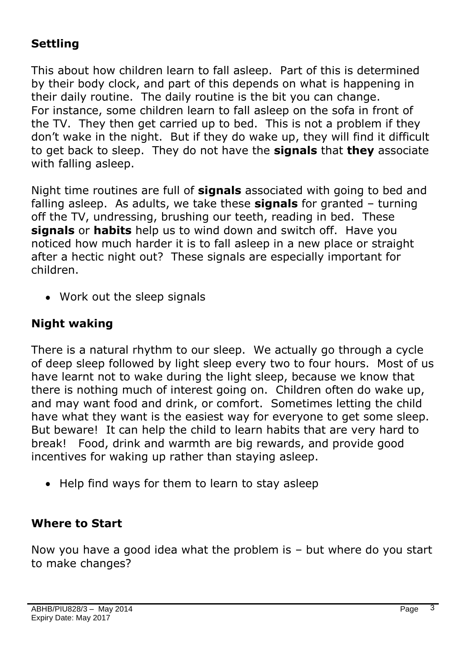# **Settling**

This about how children learn to fall asleep. Part of this is determined by their body clock, and part of this depends on what is happening in their daily routine. The daily routine is the bit you can change. For instance, some children learn to fall asleep on the sofa in front of the TV. They then get carried up to bed. This is not a problem if they don't wake in the night. But if they do wake up, they will find it difficult to get back to sleep. They do not have the **signals** that **they** associate with falling asleep.

Night time routines are full of **signals** associated with going to bed and falling asleep. As adults, we take these **signals** for granted – turning off the TV, undressing, brushing our teeth, reading in bed. These **signals** or **habits** help us to wind down and switch off. Have you noticed how much harder it is to fall asleep in a new place or straight after a hectic night out? These signals are especially important for children.

Work out the sleep signals

#### **Night waking**

There is a natural rhythm to our sleep. We actually go through a cycle of deep sleep followed by light sleep every two to four hours. Most of us have learnt not to wake during the light sleep, because we know that there is nothing much of interest going on. Children often do wake up, and may want food and drink, or comfort. Sometimes letting the child have what they want is the easiest way for everyone to get some sleep. But beware! It can help the child to learn habits that are very hard to break! Food, drink and warmth are big rewards, and provide good incentives for waking up rather than staying asleep.

• Help find ways for them to learn to stay asleep

#### **Where to Start**

Now you have a good idea what the problem is – but where do you start to make changes?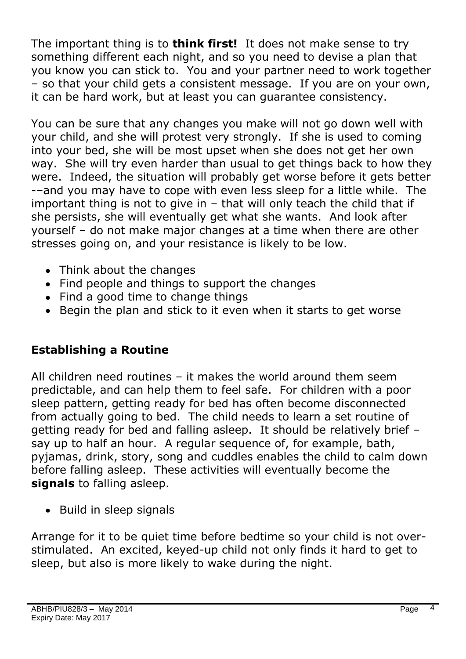The important thing is to **think first!** It does not make sense to try something different each night, and so you need to devise a plan that you know you can stick to. You and your partner need to work together – so that your child gets a consistent message. If you are on your own, it can be hard work, but at least you can guarantee consistency.

You can be sure that any changes you make will not go down well with your child, and she will protest very strongly. If she is used to coming into your bed, she will be most upset when she does not get her own way. She will try even harder than usual to get things back to how they were. Indeed, the situation will probably get worse before it gets better -–and you may have to cope with even less sleep for a little while. The important thing is not to give in – that will only teach the child that if she persists, she will eventually get what she wants. And look after yourself – do not make major changes at a time when there are other stresses going on, and your resistance is likely to be low.

- Think about the changes
- Find people and things to support the changes
- Find a good time to change things
- Begin the plan and stick to it even when it starts to get worse

# **Establishing a Routine**

All children need routines – it makes the world around them seem predictable, and can help them to feel safe. For children with a poor sleep pattern, getting ready for bed has often become disconnected from actually going to bed. The child needs to learn a set routine of getting ready for bed and falling asleep. It should be relatively brief – say up to half an hour. A regular sequence of, for example, bath, pyjamas, drink, story, song and cuddles enables the child to calm down before falling asleep. These activities will eventually become the **signals** to falling asleep.

• Build in sleep signals

Arrange for it to be quiet time before bedtime so your child is not overstimulated. An excited, keyed-up child not only finds it hard to get to sleep, but also is more likely to wake during the night.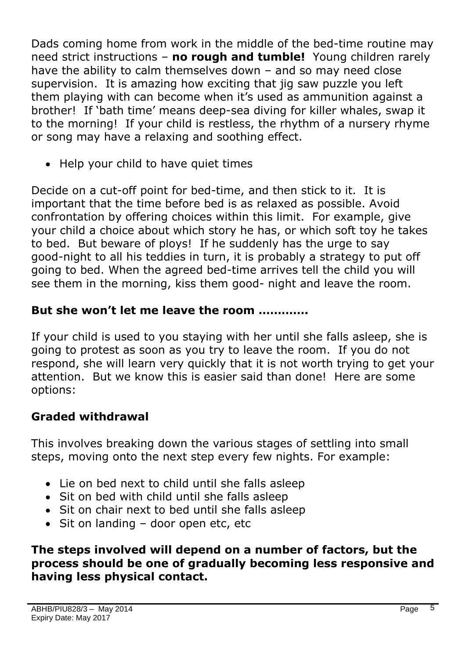Dads coming home from work in the middle of the bed-time routine may need strict instructions – **no rough and tumble!** Young children rarely have the ability to calm themselves down – and so may need close supervision. It is amazing how exciting that jig saw puzzle you left them playing with can become when it's used as ammunition against a brother! If 'bath time' means deep-sea diving for killer whales, swap it to the morning! If your child is restless, the rhythm of a nursery rhyme or song may have a relaxing and soothing effect.

• Help your child to have quiet times

Decide on a cut-off point for bed-time, and then stick to it. It is important that the time before bed is as relaxed as possible. Avoid confrontation by offering choices within this limit. For example, give your child a choice about which story he has, or which soft toy he takes to bed. But beware of ploys! If he suddenly has the urge to say good-night to all his teddies in turn, it is probably a strategy to put off going to bed. When the agreed bed-time arrives tell the child you will see them in the morning, kiss them good- night and leave the room.

# **But she won't let me leave the room ………….**

If your child is used to you staying with her until she falls asleep, she is going to protest as soon as you try to leave the room. If you do not respond, she will learn very quickly that it is not worth trying to get your attention. But we know this is easier said than done! Here are some options:

# **Graded withdrawal**

This involves breaking down the various stages of settling into small steps, moving onto the next step every few nights. For example:

- Lie on bed next to child until she falls asleep
- Sit on bed with child until she falls asleep
- Sit on chair next to bed until she falls asleep
- Sit on landing door open etc, etc

#### **The steps involved will depend on a number of factors, but the process should be one of gradually becoming less responsive and having less physical contact.**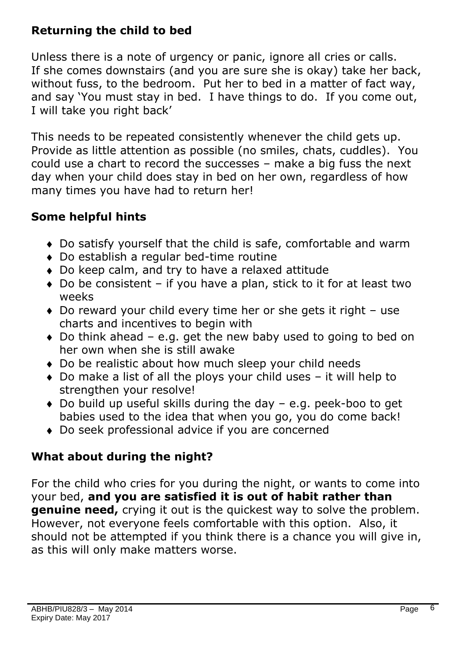# **Returning the child to bed**

Unless there is a note of urgency or panic, ignore all cries or calls. If she comes downstairs (and you are sure she is okay) take her back, without fuss, to the bedroom. Put her to bed in a matter of fact way, and say 'You must stay in bed. I have things to do. If you come out, I will take you right back'

This needs to be repeated consistently whenever the child gets up. Provide as little attention as possible (no smiles, chats, cuddles). You could use a chart to record the successes – make a big fuss the next day when your child does stay in bed on her own, regardless of how many times you have had to return her!

# **Some helpful hints**

- Do satisfy yourself that the child is safe, comfortable and warm
- Do establish a regular bed-time routine
- Do keep calm, and try to have a relaxed attitude
- $\bullet$  Do be consistent if you have a plan, stick to it for at least two weeks
- Do reward your child every time her or she gets it right use charts and incentives to begin with
- $\bullet$  Do think ahead e.g. get the new baby used to going to bed on her own when she is still awake
- Do be realistic about how much sleep your child needs
- $\bullet$  Do make a list of all the ploys your child uses  $-$  it will help to strengthen your resolve!
- Do build up useful skills during the day e.g. peek-boo to get babies used to the idea that when you go, you do come back!
- Do seek professional advice if you are concerned

# **What about during the night?**

For the child who cries for you during the night, or wants to come into your bed, **and you are satisfied it is out of habit rather than genuine need,** crying it out is the quickest way to solve the problem. However, not everyone feels comfortable with this option. Also, it should not be attempted if you think there is a chance you will give in, as this will only make matters worse.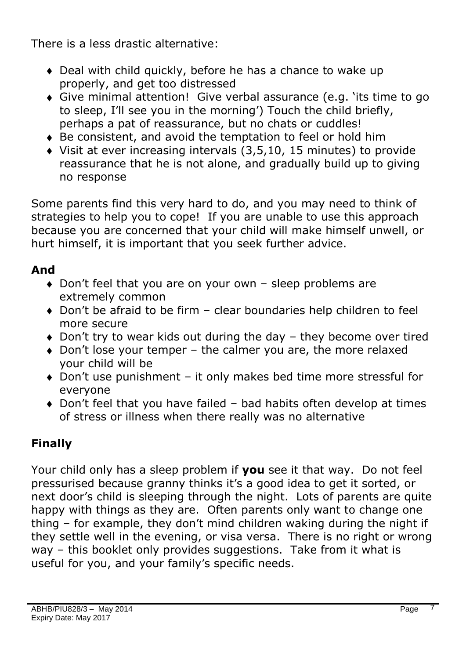There is a less drastic alternative:

- Deal with child quickly, before he has a chance to wake up properly, and get too distressed
- Give minimal attention! Give verbal assurance (e.g. 'its time to go to sleep, I'll see you in the morning') Touch the child briefly, perhaps a pat of reassurance, but no chats or cuddles!
- Be consistent, and avoid the temptation to feel or hold him
- Visit at ever increasing intervals (3,5,10, 15 minutes) to provide reassurance that he is not alone, and gradually build up to giving no response

Some parents find this very hard to do, and you may need to think of strategies to help you to cope! If you are unable to use this approach because you are concerned that your child will make himself unwell, or hurt himself, it is important that you seek further advice.

# **And**

- ◆ Don't feel that you are on your own sleep problems are extremely common
- Don't be afraid to be firm clear boundaries help children to feel more secure
- Don't try to wear kids out during the day they become over tired
- Don't lose your temper the calmer you are, the more relaxed your child will be
- Don't use punishment it only makes bed time more stressful for everyone
- Don't feel that you have failed bad habits often develop at times of stress or illness when there really was no alternative

# **Finally**

Your child only has a sleep problem if **you** see it that way. Do not feel pressurised because granny thinks it's a good idea to get it sorted, or next door's child is sleeping through the night. Lots of parents are quite happy with things as they are. Often parents only want to change one thing – for example, they don't mind children waking during the night if they settle well in the evening, or visa versa. There is no right or wrong way – this booklet only provides suggestions. Take from it what is useful for you, and your family's specific needs.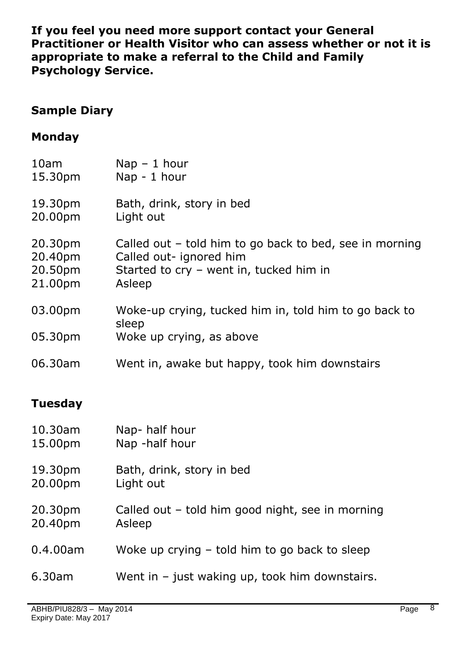**If you feel you need more support contact your General Practitioner or Health Visitor who can assess whether or not it is appropriate to make a referral to the Child and Family Psychology Service.** 

#### **Sample Diary**

#### **Monday**

| 10am    | $Nap - 1 hour$                                                 |
|---------|----------------------------------------------------------------|
| 15.30pm | Nap - 1 hour                                                   |
| 19.30pm | Bath, drink, story in bed                                      |
| 20.00pm | Light out                                                      |
| 20.30pm | Called out - told him to go back to bed, see in morning        |
| 20.40pm | Called out- ignored him                                        |
| 20.50pm | Started to cry - went in, tucked him in                        |
| 21.00pm | Asleep                                                         |
| 03.00pm | Woke-up crying, tucked him in, told him to go back to<br>sleep |
| 05.30pm | Woke up crying, as above                                       |
| 06.30am | Went in, awake but happy, took him downstairs                  |

# **Tuesday**

| 10.30am  | Nap-half hour                                    |
|----------|--------------------------------------------------|
| 15.00pm  | Nap -half hour                                   |
| 19.30pm  | Bath, drink, story in bed                        |
| 20.00pm  | Light out                                        |
| 20.30pm  | Called out - told him good night, see in morning |
| 20.40pm  | Asleep                                           |
| 0.4.00am | Woke up crying – told him to go back to sleep    |
| 6.30am   | Went in $-$ just waking up, took him downstairs. |